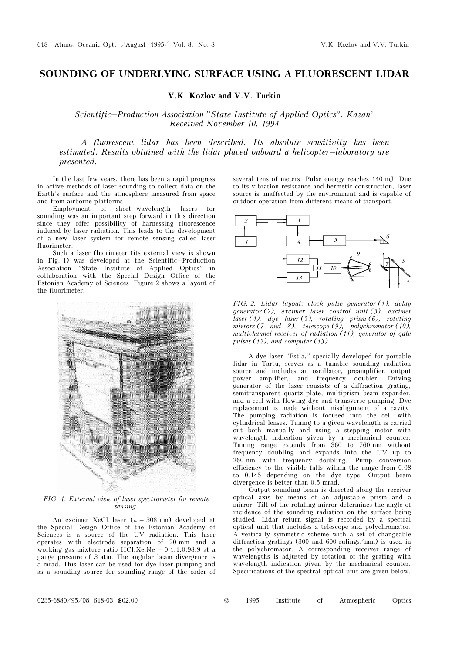## SOUNDING OF UNDERLYING SURFACE USING A FLUORESCENT LIDAR

## V.K. Kozlov and V.V. Turkin

Scientific–Production Association "State Institute of Applied Optics", Kazan' Received November 10, 1994

A fluorescent lidar has been described. Its absolute sensitivity has been estimated. Results obtained with the lidar placed onboard a helicopter–laboratory are presented.

In the last few years, there has been a rapid progress in active methods of laser sounding to collect data on the Earth's surface and the atmosphere measured from space and from airborne platforms.

 $Emplovement of short–wavelength lasers$ sounding was an important step forward in this direction since they offer possibility of harnessing fluorescence induced by laser radiation. This leads to the development of a new laser system for remote sensing called laser fluorimeter.

Such a laser fluorimeter (its external view is shown in Fig. 1) was developed at the Scientific–Production Association "State Institute of Applied Optics" in collaboration with the Special Design Office of the Estonian Academy of Sciences. Figure 2 shows a layout of the fluorimeter.

FIG. 1. External view of laser spectrometer for remote sensing.

An excimer XeCl laser  $(\lambda = 308 \text{ nm})$  developed at the Special Design Office of the Estonian Academy of Sciences is a source of the UV radiation. This laser operates with electrode separation of 20 mm and a working gas mixture ratio  $HC1:Xe:Ne = 0.1:1.0:98.9$  at a gauge pressure of 3 atm. The angular beam divergence is 5 mrad. This laser can be used for dye laser pumping and as a sounding source for sounding range of the order of

several tens of meters. Pulse energy reaches 140 mJ. Due to its vibration resistance and hermetic construction, laser source is unaffected by the environment and is capable of outdoor operation from different means of transport.



FIG. 2. Lidar layout: clock pulse generator (1), delay generator (2), excimer laser control unit (3), excimer laser (4), dye laser (5), rotating prism (6), rotating mirrors (7 and 8), telescope (9), polychromator (10), multichannel receiver of radiation (11), generator of gate pulses (12), and computer (13).

A dye laser "Estla," specially developed for portable lidar in Tartu, serves as a tunable sounding radiation source and includes an oscillator, preamplifier, output power amplifier, and frequency doubler. Driving generator of the laser consists of a diffraction grating, semitransparent quartz plate, multiprism beam expander, and a cell with flowing dye and transverse pumping. Dye replacement is made without misalignment of a cavity. The pumping radiation is focused into the cell with cylindrical lenses. Tuning to a given wavelength is carried out both manually and using a stepping motor with wavelength indication given by a mechanical counter. Tuning range extends from 360 to 760 nm without frequency doubling and expands into the UV up to 260 nm with frequency doubling. Pump conversion efficiency to the visible falls within the range from 0.08 to 0.145 depending on the dye type. Output beam divergence is better than 0.5 mrad.

Output sounding beam is directed along the receiver optical axis by means of an adjustable prism and a mirror. Tilt of the rotating mirror determines the angle of incidence of the sounding radiation on the surface being studied. Lidar return signal is recorded by a spectral optical unit that includes a telescope and polychromator. A vertically symmetric scheme with a set of changeable diffraction gratings (300 and 600 rulings/mm) is used in the polychromator. A corresponding receiver range of wavelengths is adjusted by rotation of the grating with wavelength indication given by the mechanical counter. Specifications of the spectral optical unit are given below.

| 1995 | Institute | Atmospheric | Optics |
|------|-----------|-------------|--------|
|      |           |             |        |